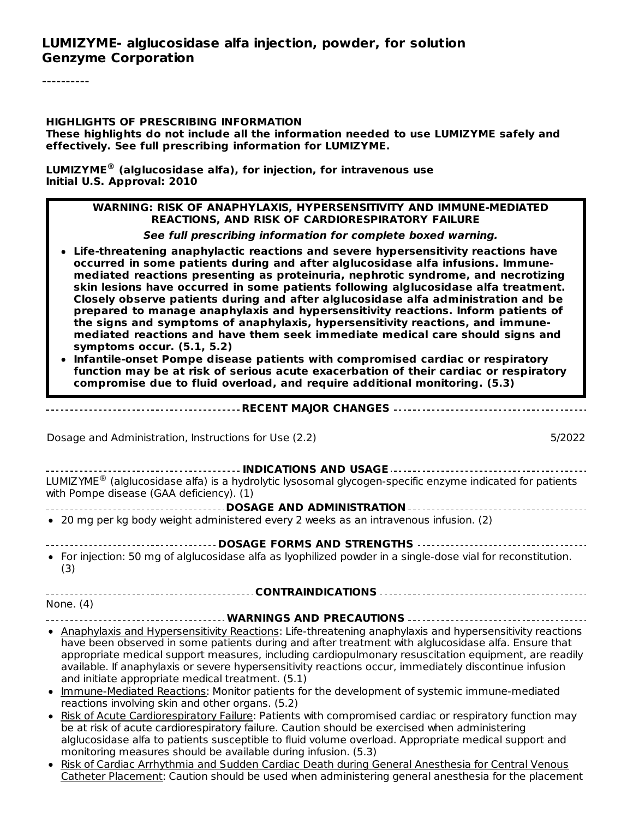#### **HIGHLIGHTS OF PRESCRIBING INFORMATION**

**These highlights do not include all the information needed to use LUMIZYME safely and effectively. See full prescribing information for LUMIZYME.**

**LUMIZYME (alglucosidase alfa), for injection, for intravenous use ® Initial U.S. Approval: 2010**

#### **WARNING: RISK OF ANAPHYLAXIS, HYPERSENSITIVITY AND IMMUNE-MEDIATED REACTIONS, AND RISK OF CARDIORESPIRATORY FAILURE**

**See full prescribing information for complete boxed warning.**

- **Life-threatening anaphylactic reactions and severe hypersensitivity reactions have occurred in some patients during and after alglucosidase alfa infusions. Immunemediated reactions presenting as proteinuria, nephrotic syndrome, and necrotizing skin lesions have occurred in some patients following alglucosidase alfa treatment. Closely observe patients during and after alglucosidase alfa administration and be prepared to manage anaphylaxis and hypersensitivity reactions. Inform patients of the signs and symptoms of anaphylaxis, hypersensitivity reactions, and immunemediated reactions and have them seek immediate medical care should signs and symptoms occur. (5.1, 5.2)**
- **Infantile-onset Pompe disease patients with compromised cardiac or respiratory function may be at risk of serious acute exacerbation of their cardiac or respiratory compromise due to fluid overload, and require additional monitoring. (5.3)**

**RECENT MAJOR CHANGES**

Dosage and Administration, Instructions for Use (2.2) 5/2022

| LUMIZYME® (alglucosidase alfa) is a hydrolytic lysosomal glycogen-specific enzyme indicated for patients |  |  |  |  |  |
|----------------------------------------------------------------------------------------------------------|--|--|--|--|--|
| with Pompe disease (GAA deficiency). (1)                                                                 |  |  |  |  |  |

- **DOSAGE AND ADMINISTRATION**
- 20 mg per kg body weight administered every 2 weeks as an intravenous infusion. (2)

#### **DOSAGE FORMS AND STRENGTHS**

For injection: 50 mg of alglucosidase alfa as lyophilized powder in a single-dose vial for reconstitution. (3)

**CONTRAINDICATIONS** None. (4)

#### **WARNINGS AND PRECAUTIONS**

- Anaphylaxis and Hypersensitivity Reactions: Life-threatening anaphylaxis and hypersensitivity reactions have been observed in some patients during and after treatment with alglucosidase alfa. Ensure that appropriate medical support measures, including cardiopulmonary resuscitation equipment, are readily available. If anaphylaxis or severe hypersensitivity reactions occur, immediately discontinue infusion and initiate appropriate medical treatment. (5.1)
- Immune-Mediated Reactions: Monitor patients for the development of systemic immune-mediated reactions involving skin and other organs. (5.2)
- . Risk of Acute Cardiorespiratory Failure: Patients with compromised cardiac or respiratory function may be at risk of acute cardiorespiratory failure. Caution should be exercised when administering alglucosidase alfa to patients susceptible to fluid volume overload. Appropriate medical support and monitoring measures should be available during infusion. (5.3)
- . Risk of Cardiac Arrhythmia and Sudden Cardiac Death during General Anesthesia for Central Venous Catheter Placement: Caution should be used when administering general anesthesia for the placement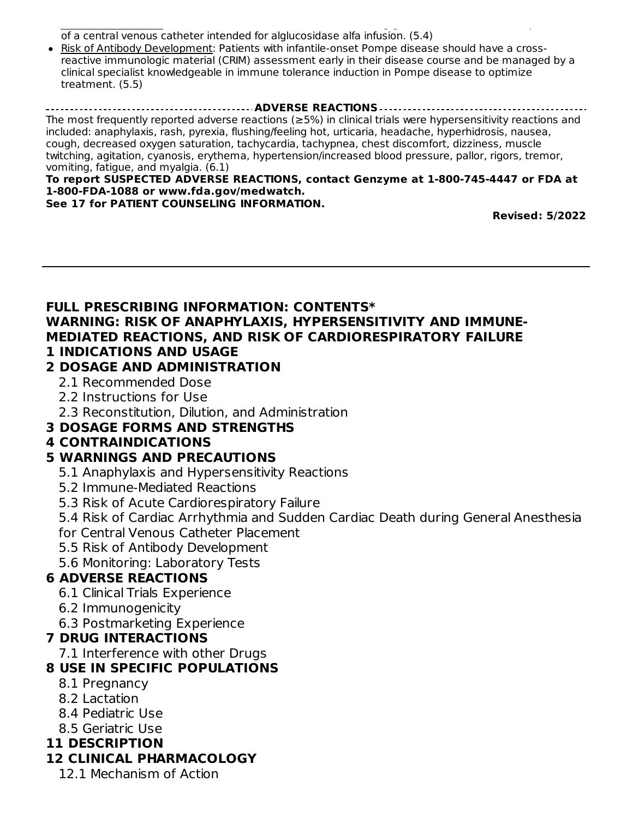Catheter Placement: Caution should be used when administering general anesthesia for the placement of a central venous catheter intended for alglucosidase alfa infusion. (5.4)

Risk of Antibody Development: Patients with infantile-onset Pompe disease should have a crossreactive immunologic material (CRIM) assessment early in their disease course and be managed by a clinical specialist knowledgeable in immune tolerance induction in Pompe disease to optimize treatment. (5.5)

**ADVERSE REACTIONS** The most frequently reported adverse reactions (≥5%) in clinical trials were hypersensitivity reactions and included: anaphylaxis, rash, pyrexia, flushing/feeling hot, urticaria, headache, hyperhidrosis, nausea, cough, decreased oxygen saturation, tachycardia, tachypnea, chest discomfort, dizziness, muscle twitching, agitation, cyanosis, erythema, hypertension/increased blood pressure, pallor, rigors, tremor, vomiting, fatigue, and myalgia. (6.1)

#### **To report SUSPECTED ADVERSE REACTIONS, contact Genzyme at 1-800-745-4447 or FDA at 1-800-FDA-1088 or www.fda.gov/medwatch.**

**See 17 for PATIENT COUNSELING INFORMATION.**

**Revised: 5/2022**

#### **FULL PRESCRIBING INFORMATION: CONTENTS\* WARNING: RISK OF ANAPHYLAXIS, HYPERSENSITIVITY AND IMMUNE-MEDIATED REACTIONS, AND RISK OF CARDIORESPIRATORY FAILURE 1 INDICATIONS AND USAGE**

### **2 DOSAGE AND ADMINISTRATION**

- 2.1 Recommended Dose
- 2.2 Instructions for Use
- 2.3 Reconstitution, Dilution, and Administration

# **3 DOSAGE FORMS AND STRENGTHS**

# **4 CONTRAINDICATIONS**

# **5 WARNINGS AND PRECAUTIONS**

- 5.1 Anaphylaxis and Hypersensitivity Reactions
- 5.2 Immune-Mediated Reactions
- 5.3 Risk of Acute Cardiorespiratory Failure
- 5.4 Risk of Cardiac Arrhythmia and Sudden Cardiac Death during General Anesthesia
- for Central Venous Catheter Placement
- 5.5 Risk of Antibody Development
- 5.6 Monitoring: Laboratory Tests

# **6 ADVERSE REACTIONS**

- 6.1 Clinical Trials Experience
- 6.2 Immunogenicity
- 6.3 Postmarketing Experience

# **7 DRUG INTERACTIONS**

7.1 Interference with other Drugs

# **8 USE IN SPECIFIC POPULATIONS**

- 8.1 Pregnancy
- 8.2 Lactation
- 8.4 Pediatric Use
- 8.5 Geriatric Use

# **11 DESCRIPTION**

# **12 CLINICAL PHARMACOLOGY**

12.1 Mechanism of Action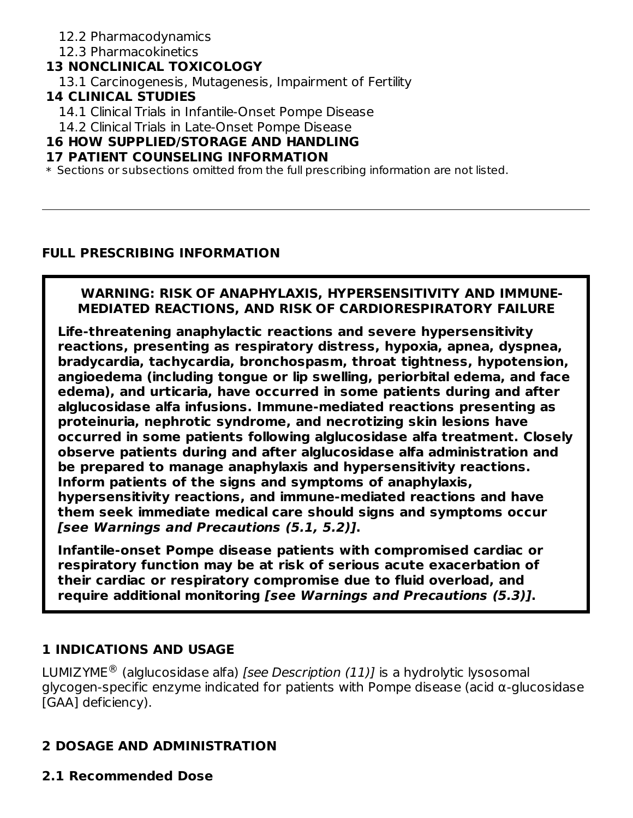### 12.2 Pharmacodynamics

### 12.3 Pharmacokinetics

# **13 NONCLINICAL TOXICOLOGY**

13.1 Carcinogenesis, Mutagenesis, Impairment of Fertility

# **14 CLINICAL STUDIES**

14.1 Clinical Trials in Infantile-Onset Pompe Disease

14.2 Clinical Trials in Late-Onset Pompe Disease

# **16 HOW SUPPLIED/STORAGE AND HANDLING**

# **17 PATIENT COUNSELING INFORMATION**

\* Sections or subsections omitted from the full prescribing information are not listed.

# **FULL PRESCRIBING INFORMATION**

# **WARNING: RISK OF ANAPHYLAXIS, HYPERSENSITIVITY AND IMMUNE-MEDIATED REACTIONS, AND RISK OF CARDIORESPIRATORY FAILURE**

**Life-threatening anaphylactic reactions and severe hypersensitivity reactions, presenting as respiratory distress, hypoxia, apnea, dyspnea, bradycardia, tachycardia, bronchospasm, throat tightness, hypotension, angioedema (including tongue or lip swelling, periorbital edema, and face edema), and urticaria, have occurred in some patients during and after alglucosidase alfa infusions. Immune-mediated reactions presenting as proteinuria, nephrotic syndrome, and necrotizing skin lesions have occurred in some patients following alglucosidase alfa treatment. Closely observe patients during and after alglucosidase alfa administration and be prepared to manage anaphylaxis and hypersensitivity reactions. Inform patients of the signs and symptoms of anaphylaxis, hypersensitivity reactions, and immune-mediated reactions and have them seek immediate medical care should signs and symptoms occur [see Warnings and Precautions (5.1, 5.2)].**

**Infantile-onset Pompe disease patients with compromised cardiac or respiratory function may be at risk of serious acute exacerbation of their cardiac or respiratory compromise due to fluid overload, and require additional monitoring [see Warnings and Precautions (5.3)].**

# **1 INDICATIONS AND USAGE**

LUMIZYME $^{\circledR}$  (alglucosidase alfa) *[see Description (11)]* is a hydrolytic lysosomal glycogen-specific enzyme indicated for patients with Pompe disease (acid α-glucosidase [GAA] deficiency).

# **2 DOSAGE AND ADMINISTRATION**

**2.1 Recommended Dose**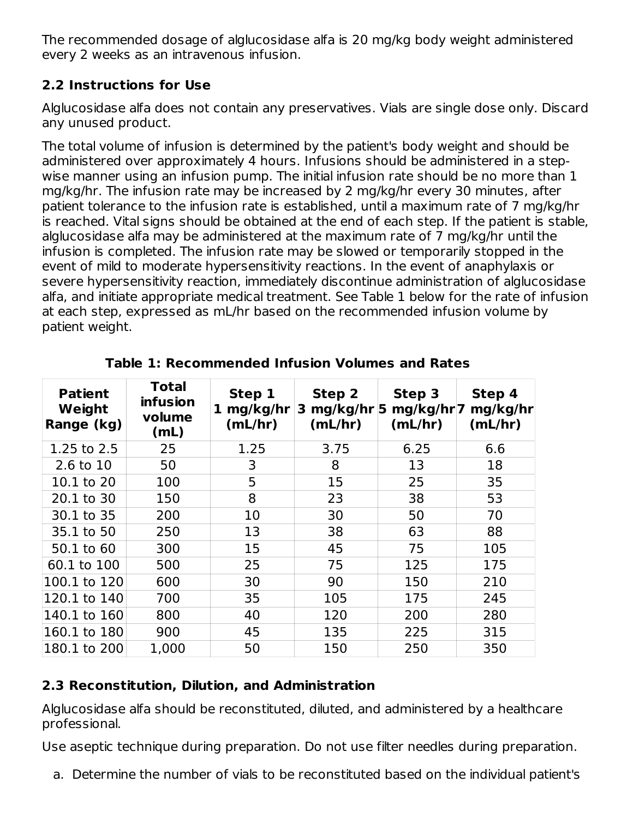The recommended dosage of alglucosidase alfa is 20 mg/kg body weight administered every 2 weeks as an intravenous infusion.

# **2.2 Instructions for Use**

Alglucosidase alfa does not contain any preservatives. Vials are single dose only. Discard any unused product.

The total volume of infusion is determined by the patient's body weight and should be administered over approximately 4 hours. Infusions should be administered in a stepwise manner using an infusion pump. The initial infusion rate should be no more than 1 mg/kg/hr. The infusion rate may be increased by 2 mg/kg/hr every 30 minutes, after patient tolerance to the infusion rate is established, until a maximum rate of 7 mg/kg/hr is reached. Vital signs should be obtained at the end of each step. If the patient is stable, alglucosidase alfa may be administered at the maximum rate of 7 mg/kg/hr until the infusion is completed. The infusion rate may be slowed or temporarily stopped in the event of mild to moderate hypersensitivity reactions. In the event of anaphylaxis or severe hypersensitivity reaction, immediately discontinue administration of alglucosidase alfa, and initiate appropriate medical treatment. See Table 1 below for the rate of infusion at each step, expressed as mL/hr based on the recommended infusion volume by patient weight.

| <b>Patient</b><br>Weight<br>Range (kg) | <b>Total</b><br><b>infusion</b><br>volume<br>(mL) | Step 1<br>mg/kg/hr<br>1<br>(mL/hr) | Step 2<br>3 mg/kg/hr $ 5$<br>(mL/hr) | Step 3<br>mg/kg/hr 7<br>(mL/hr) | Step 4<br>mg/kg/hr<br>(mL/hr) |
|----------------------------------------|---------------------------------------------------|------------------------------------|--------------------------------------|---------------------------------|-------------------------------|
| 1.25 to 2.5                            | 25                                                | 1.25                               | 3.75                                 | 6.25                            | 6.6                           |
| 2.6 to 10                              | 50                                                | 3                                  | 8                                    | 13                              | 18                            |
| 10.1 to 20                             | 100                                               | 5                                  | 15                                   | 25                              | 35                            |
| 20.1 to 30                             | 150                                               | 8                                  | 23                                   | 38                              | 53                            |
| 30.1 to 35                             | 200                                               | 10                                 | 30                                   | 50                              | 70                            |
| 35.1 to 50                             | 250                                               | 13                                 | 38                                   | 63                              | 88                            |
| 50.1 to 60                             | 300                                               | 15                                 | 45                                   | 75                              | 105                           |
| 60.1 to 100                            | 500                                               | 25                                 | 75                                   | 125                             | 175                           |
| 100.1 to 120                           | 600                                               | 30                                 | 90                                   | 150                             | 210                           |
| 120.1 to 140                           | 700                                               | 35                                 | 105                                  | 175                             | 245                           |
| 140.1 to 160                           | 800                                               | 40                                 | 120                                  | 200                             | 280                           |
| 160.1 to 180                           | 900                                               | 45                                 | 135                                  | 225                             | 315                           |
| 180.1 to 200                           | 1,000                                             | 50                                 | 150                                  | 250                             | 350                           |

**Table 1: Recommended Infusion Volumes and Rates**

# **2.3 Reconstitution, Dilution, and Administration**

Alglucosidase alfa should be reconstituted, diluted, and administered by a healthcare professional.

Use aseptic technique during preparation. Do not use filter needles during preparation.

a. Determine the number of vials to be reconstituted based on the individual patient's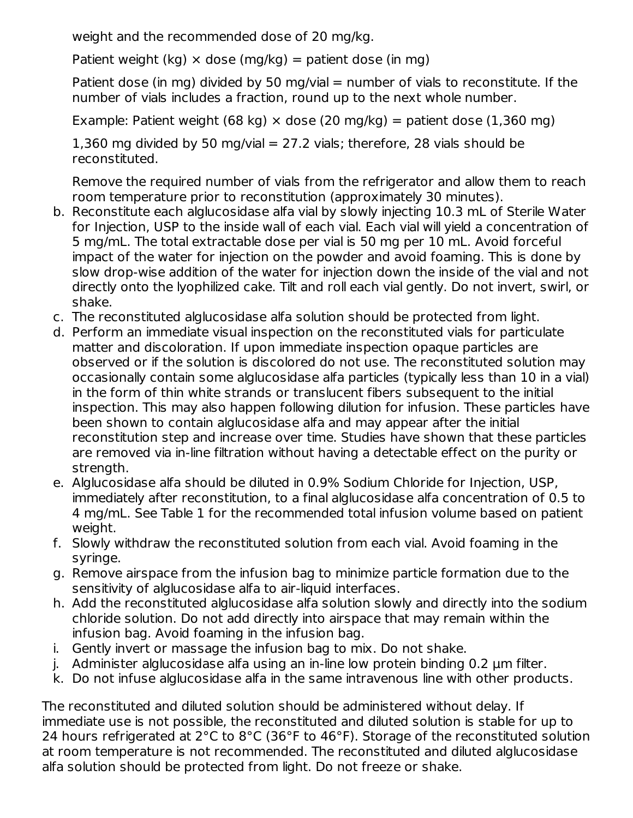weight and the recommended dose of 20 mg/kg.

Patient weight (kg)  $\times$  dose (mg/kg) = patient dose (in mg)

Patient dose (in mg) divided by 50 mg/vial = number of vials to reconstitute. If the number of vials includes a fraction, round up to the next whole number.

Example: Patient weight (68 kg)  $\times$  dose (20 mg/kg) = patient dose (1,360 mg)

1,360 mg divided by 50 mg/vial  $= 27.2$  vials; therefore, 28 vials should be reconstituted.

Remove the required number of vials from the refrigerator and allow them to reach room temperature prior to reconstitution (approximately 30 minutes).

- b. Reconstitute each alglucosidase alfa vial by slowly injecting 10.3 mL of Sterile Water for Injection, USP to the inside wall of each vial. Each vial will yield a concentration of 5 mg/mL. The total extractable dose per vial is 50 mg per 10 mL. Avoid forceful impact of the water for injection on the powder and avoid foaming. This is done by slow drop-wise addition of the water for injection down the inside of the vial and not directly onto the lyophilized cake. Tilt and roll each vial gently. Do not invert, swirl, or shake.
- c. The reconstituted alglucosidase alfa solution should be protected from light.
- d. Perform an immediate visual inspection on the reconstituted vials for particulate matter and discoloration. If upon immediate inspection opaque particles are observed or if the solution is discolored do not use. The reconstituted solution may occasionally contain some alglucosidase alfa particles (typically less than 10 in a vial) in the form of thin white strands or translucent fibers subsequent to the initial inspection. This may also happen following dilution for infusion. These particles have been shown to contain alglucosidase alfa and may appear after the initial reconstitution step and increase over time. Studies have shown that these particles are removed via in-line filtration without having a detectable effect on the purity or strength.
- e. Alglucosidase alfa should be diluted in 0.9% Sodium Chloride for Injection, USP, immediately after reconstitution, to a final alglucosidase alfa concentration of 0.5 to 4 mg/mL. See Table 1 for the recommended total infusion volume based on patient weight.
- f. Slowly withdraw the reconstituted solution from each vial. Avoid foaming in the syringe.
- g. Remove airspace from the infusion bag to minimize particle formation due to the sensitivity of alglucosidase alfa to air-liquid interfaces.
- h. Add the reconstituted alglucosidase alfa solution slowly and directly into the sodium chloride solution. Do not add directly into airspace that may remain within the infusion bag. Avoid foaming in the infusion bag.
- i. Gently invert or massage the infusion bag to mix. Do not shake.
- j. Administer alglucosidase alfa using an in-line low protein binding 0.2 µm filter.
- k. Do not infuse alglucosidase alfa in the same intravenous line with other products.

The reconstituted and diluted solution should be administered without delay. If immediate use is not possible, the reconstituted and diluted solution is stable for up to 24 hours refrigerated at 2°C to 8°C (36°F to 46°F). Storage of the reconstituted solution at room temperature is not recommended. The reconstituted and diluted alglucosidase alfa solution should be protected from light. Do not freeze or shake.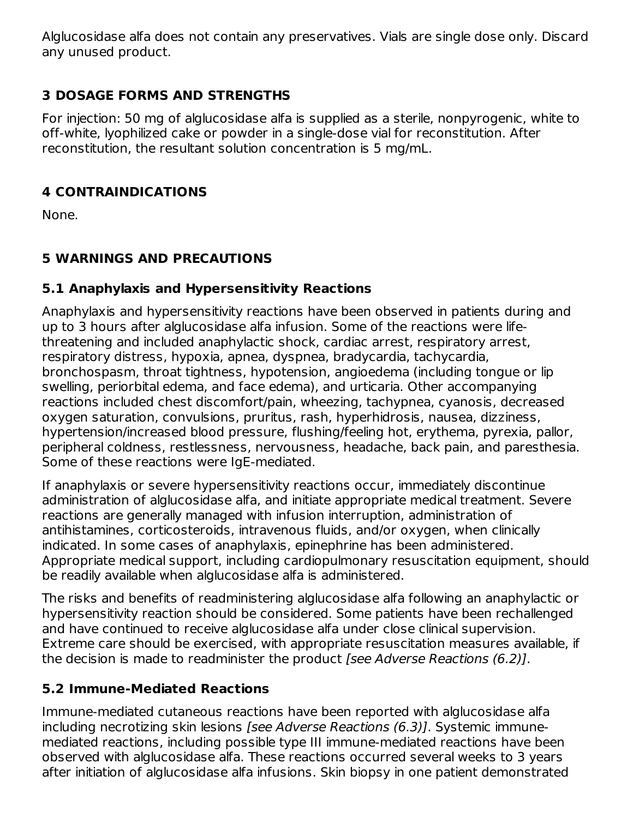Alglucosidase alfa does not contain any preservatives. Vials are single dose only. Discard any unused product.

# **3 DOSAGE FORMS AND STRENGTHS**

For injection: 50 mg of alglucosidase alfa is supplied as a sterile, nonpyrogenic, white to off-white, lyophilized cake or powder in a single-dose vial for reconstitution. After reconstitution, the resultant solution concentration is 5 mg/mL.

# **4 CONTRAINDICATIONS**

None.

# **5 WARNINGS AND PRECAUTIONS**

### **5.1 Anaphylaxis and Hypersensitivity Reactions**

Anaphylaxis and hypersensitivity reactions have been observed in patients during and up to 3 hours after alglucosidase alfa infusion. Some of the reactions were lifethreatening and included anaphylactic shock, cardiac arrest, respiratory arrest, respiratory distress, hypoxia, apnea, dyspnea, bradycardia, tachycardia, bronchospasm, throat tightness, hypotension, angioedema (including tongue or lip swelling, periorbital edema, and face edema), and urticaria. Other accompanying reactions included chest discomfort/pain, wheezing, tachypnea, cyanosis, decreased oxygen saturation, convulsions, pruritus, rash, hyperhidrosis, nausea, dizziness, hypertension/increased blood pressure, flushing/feeling hot, erythema, pyrexia, pallor, peripheral coldness, restlessness, nervousness, headache, back pain, and paresthesia. Some of these reactions were IgE-mediated.

If anaphylaxis or severe hypersensitivity reactions occur, immediately discontinue administration of alglucosidase alfa, and initiate appropriate medical treatment. Severe reactions are generally managed with infusion interruption, administration of antihistamines, corticosteroids, intravenous fluids, and/or oxygen, when clinically indicated. In some cases of anaphylaxis, epinephrine has been administered. Appropriate medical support, including cardiopulmonary resuscitation equipment, should be readily available when alglucosidase alfa is administered.

The risks and benefits of readministering alglucosidase alfa following an anaphylactic or hypersensitivity reaction should be considered. Some patients have been rechallenged and have continued to receive alglucosidase alfa under close clinical supervision. Extreme care should be exercised, with appropriate resuscitation measures available, if the decision is made to readminister the product [see Adverse Reactions (6.2)].

### **5.2 Immune-Mediated Reactions**

Immune-mediated cutaneous reactions have been reported with alglucosidase alfa including necrotizing skin lesions [see Adverse Reactions (6.3)]. Systemic immunemediated reactions, including possible type III immune-mediated reactions have been observed with alglucosidase alfa. These reactions occurred several weeks to 3 years after initiation of alglucosidase alfa infusions. Skin biopsy in one patient demonstrated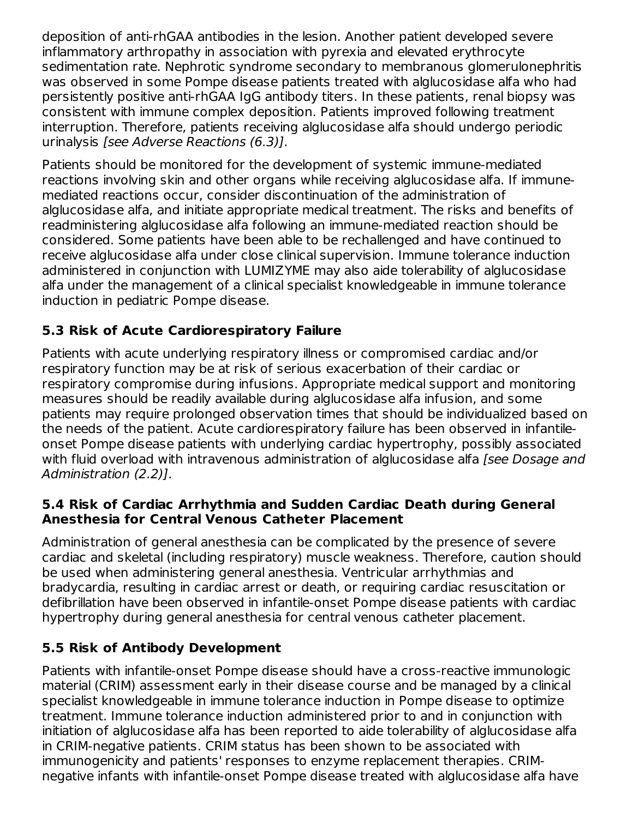deposition of anti-rhGAA antibodies in the lesion. Another patient developed severe inflammatory arthropathy in association with pyrexia and elevated erythrocyte sedimentation rate. Nephrotic syndrome secondary to membranous glomerulonephritis was observed in some Pompe disease patients treated with alglucosidase alfa who had persistently positive anti-rhGAA IgG antibody titers. In these patients, renal biopsy was consistent with immune complex deposition. Patients improved following treatment interruption. Therefore, patients receiving alglucosidase alfa should undergo periodic urinalysis [see Adverse Reactions (6.3)].

Patients should be monitored for the development of systemic immune-mediated reactions involving skin and other organs while receiving alglucosidase alfa. If immunemediated reactions occur, consider discontinuation of the administration of alglucosidase alfa, and initiate appropriate medical treatment. The risks and benefits of readministering alglucosidase alfa following an immune-mediated reaction should be considered. Some patients have been able to be rechallenged and have continued to receive alglucosidase alfa under close clinical supervision. Immune tolerance induction administered in conjunction with LUMIZYME may also aide tolerability of alglucosidase alfa under the management of a clinical specialist knowledgeable in immune tolerance induction in pediatric Pompe disease.

# **5.3 Risk of Acute Cardiorespiratory Failure**

Patients with acute underlying respiratory illness or compromised cardiac and/or respiratory function may be at risk of serious exacerbation of their cardiac or respiratory compromise during infusions. Appropriate medical support and monitoring measures should be readily available during alglucosidase alfa infusion, and some patients may require prolonged observation times that should be individualized based on the needs of the patient. Acute cardiorespiratory failure has been observed in infantileonset Pompe disease patients with underlying cardiac hypertrophy, possibly associated with fluid overload with intravenous administration of alglucosidase alfa [see Dosage and Administration (2.2)].

# **5.4 Risk of Cardiac Arrhythmia and Sudden Cardiac Death during General Anesthesia for Central Venous Catheter Placement**

Administration of general anesthesia can be complicated by the presence of severe cardiac and skeletal (including respiratory) muscle weakness. Therefore, caution should be used when administering general anesthesia. Ventricular arrhythmias and bradycardia, resulting in cardiac arrest or death, or requiring cardiac resuscitation or defibrillation have been observed in infantile-onset Pompe disease patients with cardiac hypertrophy during general anesthesia for central venous catheter placement.

# **5.5 Risk of Antibody Development**

Patients with infantile-onset Pompe disease should have a cross-reactive immunologic material (CRIM) assessment early in their disease course and be managed by a clinical specialist knowledgeable in immune tolerance induction in Pompe disease to optimize treatment. Immune tolerance induction administered prior to and in conjunction with initiation of alglucosidase alfa has been reported to aide tolerability of alglucosidase alfa in CRIM-negative patients. CRIM status has been shown to be associated with immunogenicity and patients' responses to enzyme replacement therapies. CRIMnegative infants with infantile-onset Pompe disease treated with alglucosidase alfa have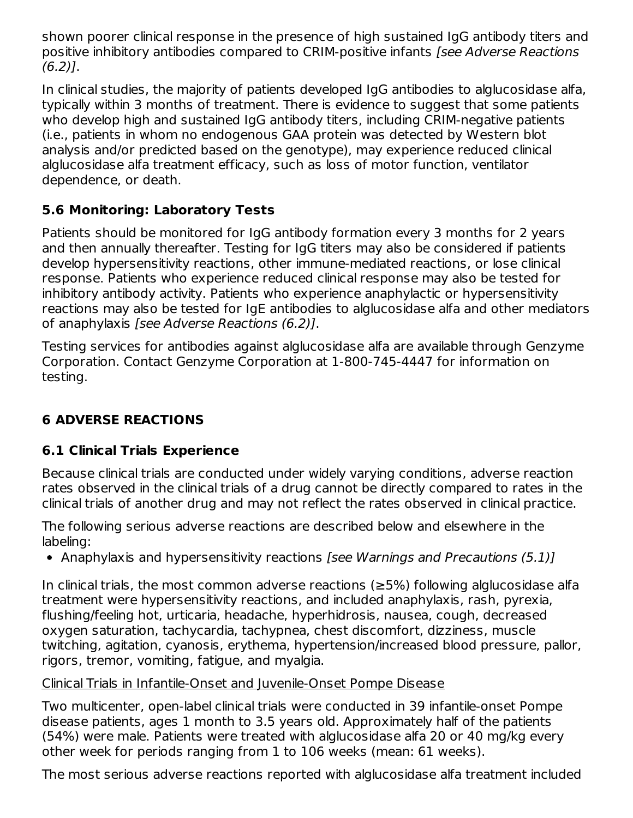shown poorer clinical response in the presence of high sustained IgG antibody titers and positive inhibitory antibodies compared to CRIM-positive infants [see Adverse Reactions  $(6.2)$ ].

In clinical studies, the majority of patients developed IgG antibodies to alglucosidase alfa, typically within 3 months of treatment. There is evidence to suggest that some patients who develop high and sustained IgG antibody titers, including CRIM-negative patients (i.e., patients in whom no endogenous GAA protein was detected by Western blot analysis and/or predicted based on the genotype), may experience reduced clinical alglucosidase alfa treatment efficacy, such as loss of motor function, ventilator dependence, or death.

# **5.6 Monitoring: Laboratory Tests**

Patients should be monitored for IgG antibody formation every 3 months for 2 years and then annually thereafter. Testing for IgG titers may also be considered if patients develop hypersensitivity reactions, other immune-mediated reactions, or lose clinical response. Patients who experience reduced clinical response may also be tested for inhibitory antibody activity. Patients who experience anaphylactic or hypersensitivity reactions may also be tested for IgE antibodies to alglucosidase alfa and other mediators of anaphylaxis [see Adverse Reactions (6.2)].

Testing services for antibodies against alglucosidase alfa are available through Genzyme Corporation. Contact Genzyme Corporation at 1-800-745-4447 for information on testing.

# **6 ADVERSE REACTIONS**

# **6.1 Clinical Trials Experience**

Because clinical trials are conducted under widely varying conditions, adverse reaction rates observed in the clinical trials of a drug cannot be directly compared to rates in the clinical trials of another drug and may not reflect the rates observed in clinical practice.

The following serious adverse reactions are described below and elsewhere in the labeling:

• Anaphylaxis and hypersensitivity reactions [see Warnings and Precautions (5.1)]

In clinical trials, the most common adverse reactions (≥5%) following alglucosidase alfa treatment were hypersensitivity reactions, and included anaphylaxis, rash, pyrexia, flushing/feeling hot, urticaria, headache, hyperhidrosis, nausea, cough, decreased oxygen saturation, tachycardia, tachypnea, chest discomfort, dizziness, muscle twitching, agitation, cyanosis, erythema, hypertension/increased blood pressure, pallor, rigors, tremor, vomiting, fatigue, and myalgia.

### Clinical Trials in Infantile-Onset and Juvenile-Onset Pompe Disease

Two multicenter, open-label clinical trials were conducted in 39 infantile-onset Pompe disease patients, ages 1 month to 3.5 years old. Approximately half of the patients (54%) were male. Patients were treated with alglucosidase alfa 20 or 40 mg/kg every other week for periods ranging from 1 to 106 weeks (mean: 61 weeks).

The most serious adverse reactions reported with alglucosidase alfa treatment included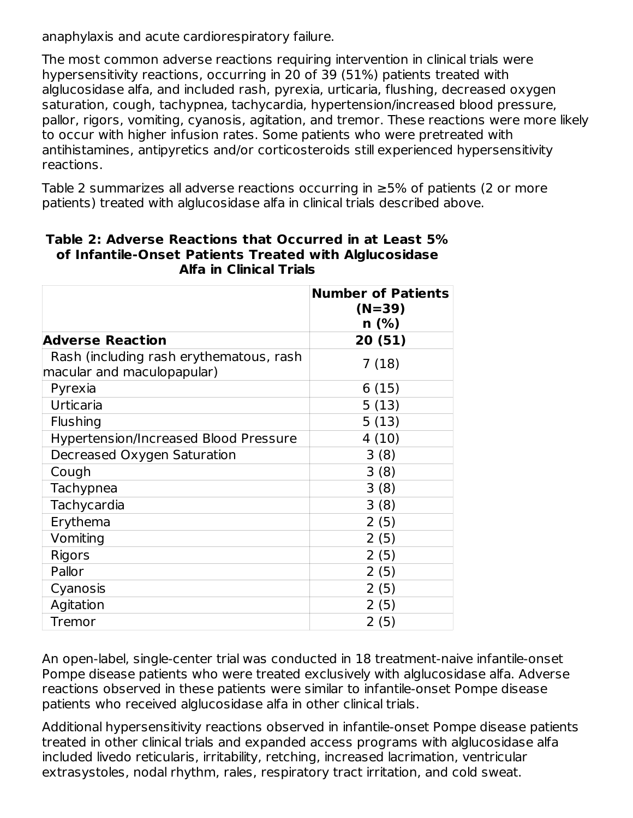anaphylaxis and acute cardiorespiratory failure.

The most common adverse reactions requiring intervention in clinical trials were hypersensitivity reactions, occurring in 20 of 39 (51%) patients treated with alglucosidase alfa, and included rash, pyrexia, urticaria, flushing, decreased oxygen saturation, cough, tachypnea, tachycardia, hypertension/increased blood pressure, pallor, rigors, vomiting, cyanosis, agitation, and tremor. These reactions were more likely to occur with higher infusion rates. Some patients who were pretreated with antihistamines, antipyretics and/or corticosteroids still experienced hypersensitivity reactions.

Table 2 summarizes all adverse reactions occurring in ≥5% of patients (2 or more patients) treated with alglucosidase alfa in clinical trials described above.

|                                                                       | <b>Number of Patients</b><br>$(N=39)$<br>$n$ (%) |
|-----------------------------------------------------------------------|--------------------------------------------------|
| <b>Adverse Reaction</b>                                               | 20 (51)                                          |
| Rash (including rash erythematous, rash<br>macular and maculopapular) | 7(18)                                            |
| Pyrexia                                                               | 6(15)                                            |
| Urticaria                                                             | 5(13)                                            |
| <b>Flushing</b>                                                       | 5(13)                                            |
| <b>Hypertension/Increased Blood Pressure</b>                          | 4(10)                                            |
| Decreased Oxygen Saturation                                           | 3(8)                                             |
| Cough                                                                 | 3(8)                                             |
| Tachypnea                                                             | 3(8)                                             |
| Tachycardia                                                           | 3(8)                                             |
| Erythema                                                              | 2(5)                                             |
| Vomiting                                                              | 2(5)                                             |
| Rigors                                                                | 2(5)                                             |
| Pallor                                                                | 2(5)                                             |
| Cyanosis                                                              | 2(5)                                             |
| Agitation                                                             | 2(5)                                             |
| Tremor                                                                | 2(5)                                             |

### **Table 2: Adverse Reactions that Occurred in at Least 5% of Infantile-Onset Patients Treated with Alglucosidase Alfa in Clinical Trials**

An open-label, single-center trial was conducted in 18 treatment-naive infantile-onset Pompe disease patients who were treated exclusively with alglucosidase alfa. Adverse reactions observed in these patients were similar to infantile-onset Pompe disease patients who received alglucosidase alfa in other clinical trials.

Additional hypersensitivity reactions observed in infantile-onset Pompe disease patients treated in other clinical trials and expanded access programs with alglucosidase alfa included livedo reticularis, irritability, retching, increased lacrimation, ventricular extrasystoles, nodal rhythm, rales, respiratory tract irritation, and cold sweat.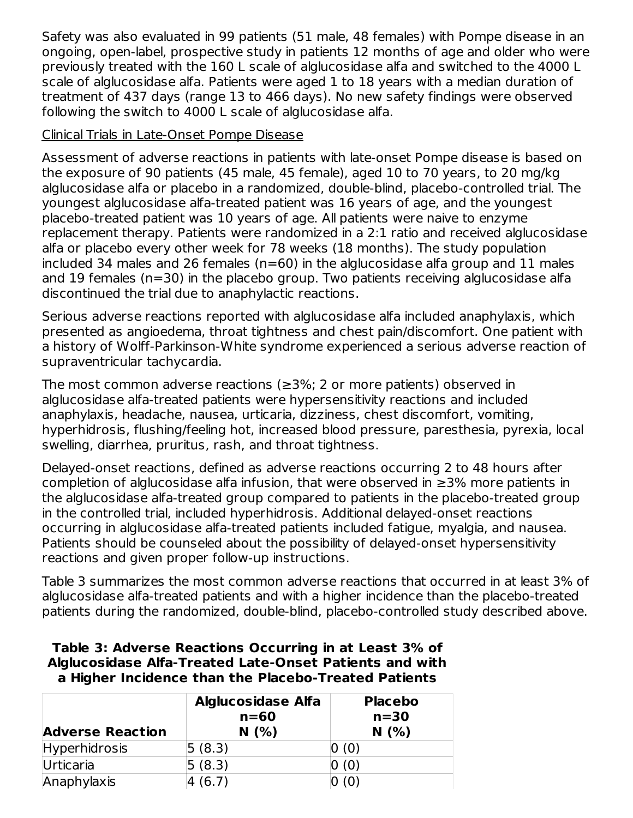Safety was also evaluated in 99 patients (51 male, 48 females) with Pompe disease in an ongoing, open-label, prospective study in patients 12 months of age and older who were previously treated with the 160 L scale of alglucosidase alfa and switched to the 4000 L scale of alglucosidase alfa. Patients were aged 1 to 18 years with a median duration of treatment of 437 days (range 13 to 466 days). No new safety findings were observed following the switch to 4000 L scale of alglucosidase alfa.

### Clinical Trials in Late-Onset Pompe Disease

Assessment of adverse reactions in patients with late-onset Pompe disease is based on the exposure of 90 patients (45 male, 45 female), aged 10 to 70 years, to 20 mg/kg alglucosidase alfa or placebo in a randomized, double-blind, placebo-controlled trial. The youngest alglucosidase alfa-treated patient was 16 years of age, and the youngest placebo-treated patient was 10 years of age. All patients were naive to enzyme replacement therapy. Patients were randomized in a 2:1 ratio and received alglucosidase alfa or placebo every other week for 78 weeks (18 months). The study population included 34 males and 26 females ( $n=60$ ) in the alglucosidase alfa group and 11 males and 19 females (n=30) in the placebo group. Two patients receiving alglucosidase alfa discontinued the trial due to anaphylactic reactions.

Serious adverse reactions reported with alglucosidase alfa included anaphylaxis, which presented as angioedema, throat tightness and chest pain/discomfort. One patient with a history of Wolff-Parkinson-White syndrome experienced a serious adverse reaction of supraventricular tachycardia.

The most common adverse reactions (≥3%; 2 or more patients) observed in alglucosidase alfa-treated patients were hypersensitivity reactions and included anaphylaxis, headache, nausea, urticaria, dizziness, chest discomfort, vomiting, hyperhidrosis, flushing/feeling hot, increased blood pressure, paresthesia, pyrexia, local swelling, diarrhea, pruritus, rash, and throat tightness.

Delayed-onset reactions, defined as adverse reactions occurring 2 to 48 hours after completion of alglucosidase alfa infusion, that were observed in ≥3% more patients in the alglucosidase alfa-treated group compared to patients in the placebo-treated group in the controlled trial, included hyperhidrosis. Additional delayed-onset reactions occurring in alglucosidase alfa-treated patients included fatigue, myalgia, and nausea. Patients should be counseled about the possibility of delayed-onset hypersensitivity reactions and given proper follow-up instructions.

Table 3 summarizes the most common adverse reactions that occurred in at least 3% of alglucosidase alfa-treated patients and with a higher incidence than the placebo-treated patients during the randomized, double-blind, placebo-controlled study described above.

### **Table 3: Adverse Reactions Occurring in at Least 3% of Alglucosidase Alfa-Treated Late-Onset Patients and with a Higher Incidence than the Placebo-Treated Patients**

| <b>Adverse Reaction</b> | <b>Alglucosidase Alfa</b><br>$n=60$<br>N(% ) | <b>Placebo</b><br>$n=30$<br>N(% ) |
|-------------------------|----------------------------------------------|-----------------------------------|
| <b>Hyperhidrosis</b>    | 5(8.3)                                       | (0)                               |
| Urticaria               | 5(8.3)                                       | (0)                               |
| Anaphylaxis             | (6.7)                                        |                                   |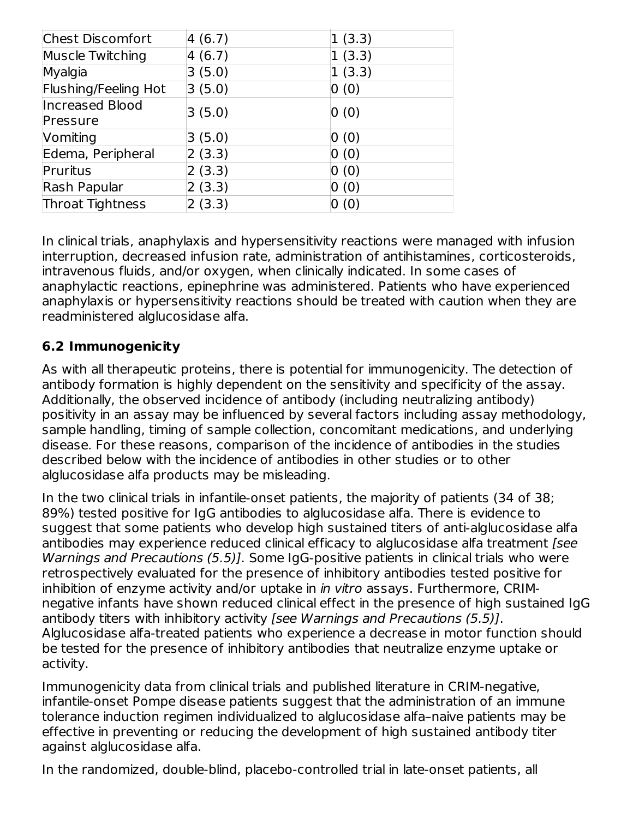| <b>Chest Discomfort</b> | 4(6.7) | 1(3.3) |
|-------------------------|--------|--------|
| <b>Muscle Twitching</b> | 4(6.7) | 1(3.3) |
| Myalgia                 | 3(5.0) | 1(3.3) |
| Flushing/Feeling Hot    | 3(5.0) | 0(0)   |
| <b>Increased Blood</b>  | 3(5.0) | 0(0)   |
| Pressure                |        |        |
| Vomiting                | 3(5.0) | 0(0)   |
| Edema, Peripheral       | 2(3.3) | 0(0)   |
| Pruritus                | 2(3.3) | 0(0)   |
| Rash Papular            | 2(3.3) | 0(0)   |
| <b>Throat Tightness</b> | 2(3.3) | (0)    |

In clinical trials, anaphylaxis and hypersensitivity reactions were managed with infusion interruption, decreased infusion rate, administration of antihistamines, corticosteroids, intravenous fluids, and/or oxygen, when clinically indicated. In some cases of anaphylactic reactions, epinephrine was administered. Patients who have experienced anaphylaxis or hypersensitivity reactions should be treated with caution when they are readministered alglucosidase alfa.

### **6.2 Immunogenicity**

As with all therapeutic proteins, there is potential for immunogenicity. The detection of antibody formation is highly dependent on the sensitivity and specificity of the assay. Additionally, the observed incidence of antibody (including neutralizing antibody) positivity in an assay may be influenced by several factors including assay methodology, sample handling, timing of sample collection, concomitant medications, and underlying disease. For these reasons, comparison of the incidence of antibodies in the studies described below with the incidence of antibodies in other studies or to other alglucosidase alfa products may be misleading.

In the two clinical trials in infantile-onset patients, the majority of patients (34 of 38; 89%) tested positive for IgG antibodies to alglucosidase alfa. There is evidence to suggest that some patients who develop high sustained titers of anti-alglucosidase alfa antibodies may experience reduced clinical efficacy to alglucosidase alfa treatment [see Warnings and Precautions (5.5)]. Some IgG-positive patients in clinical trials who were retrospectively evaluated for the presence of inhibitory antibodies tested positive for inhibition of enzyme activity and/or uptake in *in vitro* assays. Furthermore, CRIMnegative infants have shown reduced clinical effect in the presence of high sustained IgG antibody titers with inhibitory activity [see Warnings and Precautions (5.5)]. Alglucosidase alfa-treated patients who experience a decrease in motor function should be tested for the presence of inhibitory antibodies that neutralize enzyme uptake or activity.

Immunogenicity data from clinical trials and published literature in CRIM-negative, infantile-onset Pompe disease patients suggest that the administration of an immune tolerance induction regimen individualized to alglucosidase alfa–naive patients may be effective in preventing or reducing the development of high sustained antibody titer against alglucosidase alfa.

In the randomized, double-blind, placebo-controlled trial in late-onset patients, all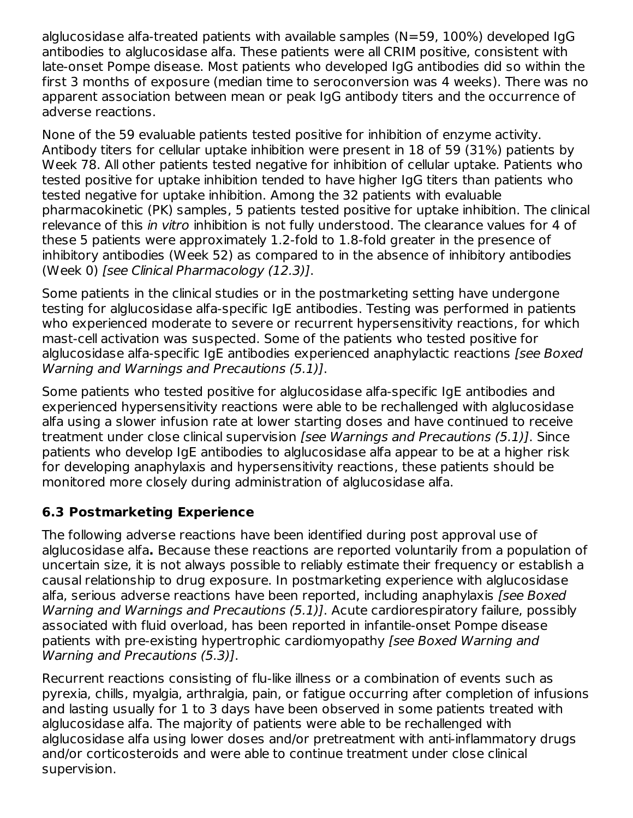alglucosidase alfa-treated patients with available samples (N=59, 100%) developed IgG antibodies to alglucosidase alfa. These patients were all CRIM positive, consistent with late-onset Pompe disease. Most patients who developed IgG antibodies did so within the first 3 months of exposure (median time to seroconversion was 4 weeks). There was no apparent association between mean or peak IgG antibody titers and the occurrence of adverse reactions.

None of the 59 evaluable patients tested positive for inhibition of enzyme activity. Antibody titers for cellular uptake inhibition were present in 18 of 59 (31%) patients by Week 78. All other patients tested negative for inhibition of cellular uptake. Patients who tested positive for uptake inhibition tended to have higher IgG titers than patients who tested negative for uptake inhibition. Among the 32 patients with evaluable pharmacokinetic (PK) samples, 5 patients tested positive for uptake inhibition. The clinical relevance of this *in vitro* inhibition is not fully understood. The clearance values for 4 of these 5 patients were approximately 1.2-fold to 1.8-fold greater in the presence of inhibitory antibodies (Week 52) as compared to in the absence of inhibitory antibodies (Week 0) [see Clinical Pharmacology (12.3)].

Some patients in the clinical studies or in the postmarketing setting have undergone testing for alglucosidase alfa-specific IgE antibodies. Testing was performed in patients who experienced moderate to severe or recurrent hypersensitivity reactions, for which mast-cell activation was suspected. Some of the patients who tested positive for alglucosidase alfa-specific IgE antibodies experienced anaphylactic reactions [see Boxed Warning and Warnings and Precautions (5.1)].

Some patients who tested positive for alglucosidase alfa-specific IgE antibodies and experienced hypersensitivity reactions were able to be rechallenged with alglucosidase alfa using a slower infusion rate at lower starting doses and have continued to receive treatment under close clinical supervision [see Warnings and Precautions (5.1)]. Since patients who develop IgE antibodies to alglucosidase alfa appear to be at a higher risk for developing anaphylaxis and hypersensitivity reactions, these patients should be monitored more closely during administration of alglucosidase alfa.

# **6.3 Postmarketing Experience**

The following adverse reactions have been identified during post approval use of alglucosidase alfa**.** Because these reactions are reported voluntarily from a population of uncertain size, it is not always possible to reliably estimate their frequency or establish a causal relationship to drug exposure. In postmarketing experience with alglucosidase alfa, serious adverse reactions have been reported, including anaphylaxis [see Boxed Warning and Warnings and Precautions (5.1)]. Acute cardiorespiratory failure, possibly associated with fluid overload, has been reported in infantile-onset Pompe disease patients with pre-existing hypertrophic cardiomyopathy [see Boxed Warning and Warning and Precautions (5.3)].

Recurrent reactions consisting of flu-like illness or a combination of events such as pyrexia, chills, myalgia, arthralgia, pain, or fatigue occurring after completion of infusions and lasting usually for 1 to 3 days have been observed in some patients treated with alglucosidase alfa. The majority of patients were able to be rechallenged with alglucosidase alfa using lower doses and/or pretreatment with anti-inflammatory drugs and/or corticosteroids and were able to continue treatment under close clinical supervision.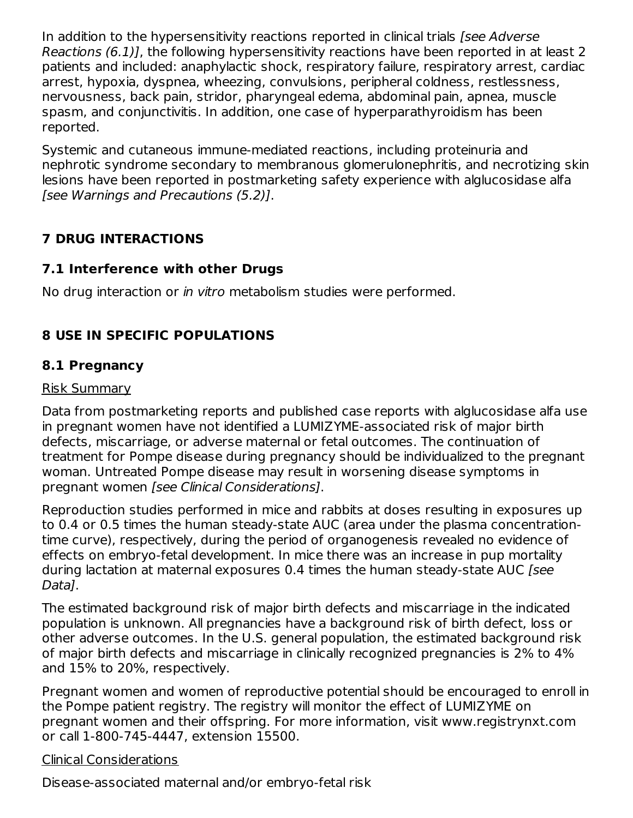In addition to the hypersensitivity reactions reported in clinical trials (see Adverse Reactions (6.1)], the following hypersensitivity reactions have been reported in at least 2 patients and included: anaphylactic shock, respiratory failure, respiratory arrest, cardiac arrest, hypoxia, dyspnea, wheezing, convulsions, peripheral coldness, restlessness, nervousness, back pain, stridor, pharyngeal edema, abdominal pain, apnea, muscle spasm, and conjunctivitis. In addition, one case of hyperparathyroidism has been reported.

Systemic and cutaneous immune-mediated reactions, including proteinuria and nephrotic syndrome secondary to membranous glomerulonephritis, and necrotizing skin lesions have been reported in postmarketing safety experience with alglucosidase alfa [see Warnings and Precautions (5.2)].

# **7 DRUG INTERACTIONS**

# **7.1 Interference with other Drugs**

No drug interaction or in vitro metabolism studies were performed.

# **8 USE IN SPECIFIC POPULATIONS**

# **8.1 Pregnancy**

### Risk Summary

Data from postmarketing reports and published case reports with alglucosidase alfa use in pregnant women have not identified a LUMIZYME-associated risk of major birth defects, miscarriage, or adverse maternal or fetal outcomes. The continuation of treatment for Pompe disease during pregnancy should be individualized to the pregnant woman. Untreated Pompe disease may result in worsening disease symptoms in pregnant women [see Clinical Considerations].

Reproduction studies performed in mice and rabbits at doses resulting in exposures up to 0.4 or 0.5 times the human steady-state AUC (area under the plasma concentrationtime curve), respectively, during the period of organogenesis revealed no evidence of effects on embryo-fetal development. In mice there was an increase in pup mortality during lactation at maternal exposures 0.4 times the human steady-state AUC [see Data].

The estimated background risk of major birth defects and miscarriage in the indicated population is unknown. All pregnancies have a background risk of birth defect, loss or other adverse outcomes. In the U.S. general population, the estimated background risk of major birth defects and miscarriage in clinically recognized pregnancies is 2% to 4% and 15% to 20%, respectively.

Pregnant women and women of reproductive potential should be encouraged to enroll in the Pompe patient registry. The registry will monitor the effect of LUMIZYME on pregnant women and their offspring. For more information, visit www.registrynxt.com or call 1-800-745-4447, extension 15500.

### Clinical Considerations

Disease-associated maternal and/or embryo-fetal risk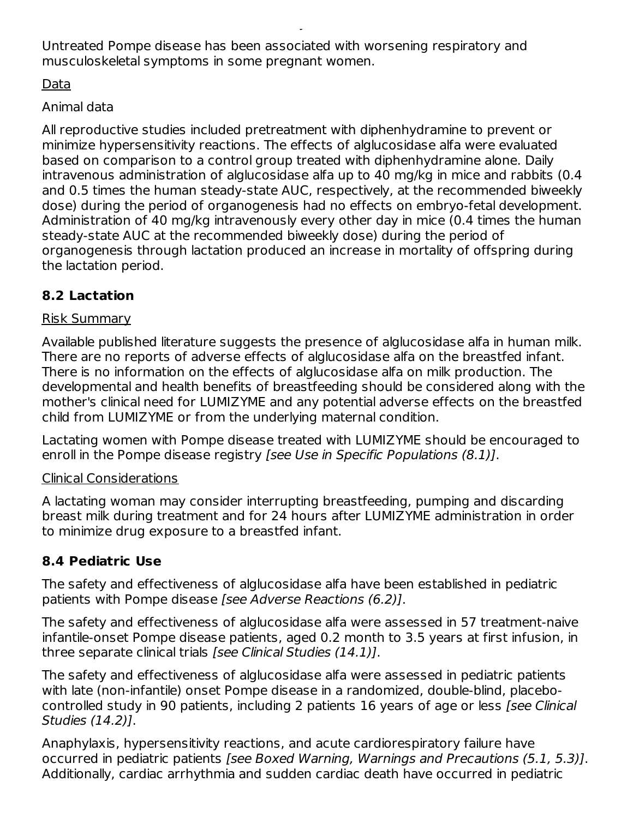Untreated Pompe disease has been associated with worsening respiratory and musculoskeletal symptoms in some pregnant women.

Disease-associated maternal and/or embryo-fetal risk

### Data

# Animal data

All reproductive studies included pretreatment with diphenhydramine to prevent or minimize hypersensitivity reactions. The effects of alglucosidase alfa were evaluated based on comparison to a control group treated with diphenhydramine alone. Daily intravenous administration of alglucosidase alfa up to 40 mg/kg in mice and rabbits (0.4 and 0.5 times the human steady-state AUC, respectively, at the recommended biweekly dose) during the period of organogenesis had no effects on embryo-fetal development. Administration of 40 mg/kg intravenously every other day in mice (0.4 times the human steady-state AUC at the recommended biweekly dose) during the period of organogenesis through lactation produced an increase in mortality of offspring during the lactation period.

# **8.2 Lactation**

### Risk Summary

Available published literature suggests the presence of alglucosidase alfa in human milk. There are no reports of adverse effects of alglucosidase alfa on the breastfed infant. There is no information on the effects of alglucosidase alfa on milk production. The developmental and health benefits of breastfeeding should be considered along with the mother's clinical need for LUMIZYME and any potential adverse effects on the breastfed child from LUMIZYME or from the underlying maternal condition.

Lactating women with Pompe disease treated with LUMIZYME should be encouraged to enroll in the Pompe disease registry *[see Use in Specific Populations (8.1)]*.

### Clinical Considerations

A lactating woman may consider interrupting breastfeeding, pumping and discarding breast milk during treatment and for 24 hours after LUMIZYME administration in order to minimize drug exposure to a breastfed infant.

# **8.4 Pediatric Use**

The safety and effectiveness of alglucosidase alfa have been established in pediatric patients with Pompe disease [see Adverse Reactions (6.2)].

The safety and effectiveness of alglucosidase alfa were assessed in 57 treatment-naive infantile-onset Pompe disease patients, aged 0.2 month to 3.5 years at first infusion, in three separate clinical trials [see Clinical Studies (14.1)].

The safety and effectiveness of alglucosidase alfa were assessed in pediatric patients with late (non-infantile) onset Pompe disease in a randomized, double-blind, placebocontrolled study in 90 patients, including 2 patients 16 years of age or less [see Clinical Studies (14.2)].

Anaphylaxis, hypersensitivity reactions, and acute cardiorespiratory failure have occurred in pediatric patients [see Boxed Warning, Warnings and Precautions (5.1, 5.3)]. Additionally, cardiac arrhythmia and sudden cardiac death have occurred in pediatric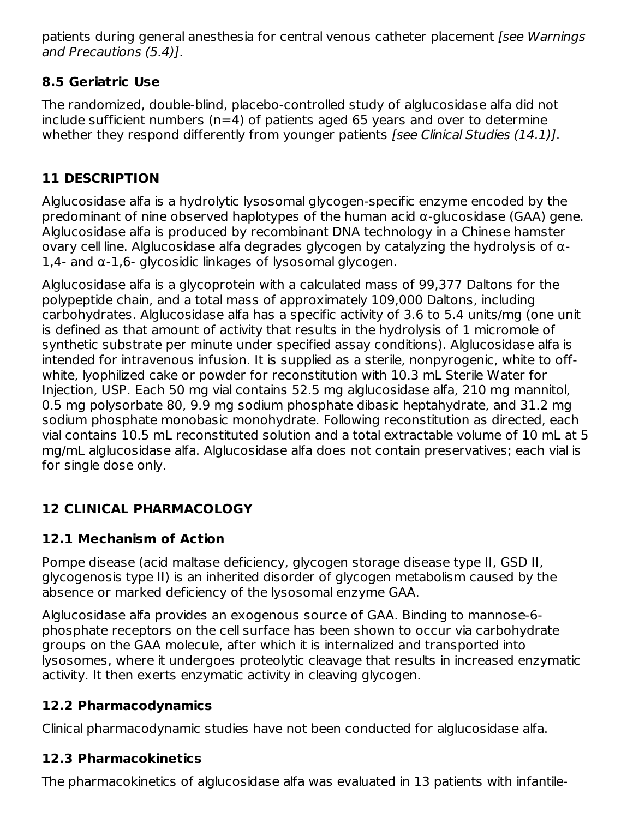patients during general anesthesia for central venous catheter placement (see Warnings and Precautions (5.4)].

# **8.5 Geriatric Use**

The randomized, double-blind, placebo-controlled study of alglucosidase alfa did not include sufficient numbers ( $n=4$ ) of patients aged 65 years and over to determine whether they respond differently from younger patients *[see Clinical Studies (14.1)]*.

# **11 DESCRIPTION**

Alglucosidase alfa is a hydrolytic lysosomal glycogen-specific enzyme encoded by the predominant of nine observed haplotypes of the human acid α-glucosidase (GAA) gene. Alglucosidase alfa is produced by recombinant DNA technology in a Chinese hamster ovary cell line. Alglucosidase alfa degrades glycogen by catalyzing the hydrolysis of α-1,4- and α-1,6- glycosidic linkages of lysosomal glycogen.

Alglucosidase alfa is a glycoprotein with a calculated mass of 99,377 Daltons for the polypeptide chain, and a total mass of approximately 109,000 Daltons, including carbohydrates. Alglucosidase alfa has a specific activity of 3.6 to 5.4 units/mg (one unit is defined as that amount of activity that results in the hydrolysis of 1 micromole of synthetic substrate per minute under specified assay conditions). Alglucosidase alfa is intended for intravenous infusion. It is supplied as a sterile, nonpyrogenic, white to offwhite, lyophilized cake or powder for reconstitution with 10.3 mL Sterile Water for Injection, USP. Each 50 mg vial contains 52.5 mg alglucosidase alfa, 210 mg mannitol, 0.5 mg polysorbate 80, 9.9 mg sodium phosphate dibasic heptahydrate, and 31.2 mg sodium phosphate monobasic monohydrate. Following reconstitution as directed, each vial contains 10.5 mL reconstituted solution and a total extractable volume of 10 mL at 5 mg/mL alglucosidase alfa. Alglucosidase alfa does not contain preservatives; each vial is for single dose only.

# **12 CLINICAL PHARMACOLOGY**

# **12.1 Mechanism of Action**

Pompe disease (acid maltase deficiency, glycogen storage disease type II, GSD II, glycogenosis type II) is an inherited disorder of glycogen metabolism caused by the absence or marked deficiency of the lysosomal enzyme GAA.

Alglucosidase alfa provides an exogenous source of GAA. Binding to mannose-6 phosphate receptors on the cell surface has been shown to occur via carbohydrate groups on the GAA molecule, after which it is internalized and transported into lysosomes, where it undergoes proteolytic cleavage that results in increased enzymatic activity. It then exerts enzymatic activity in cleaving glycogen.

# **12.2 Pharmacodynamics**

Clinical pharmacodynamic studies have not been conducted for alglucosidase alfa.

# **12.3 Pharmacokinetics**

The pharmacokinetics of alglucosidase alfa was evaluated in 13 patients with infantile-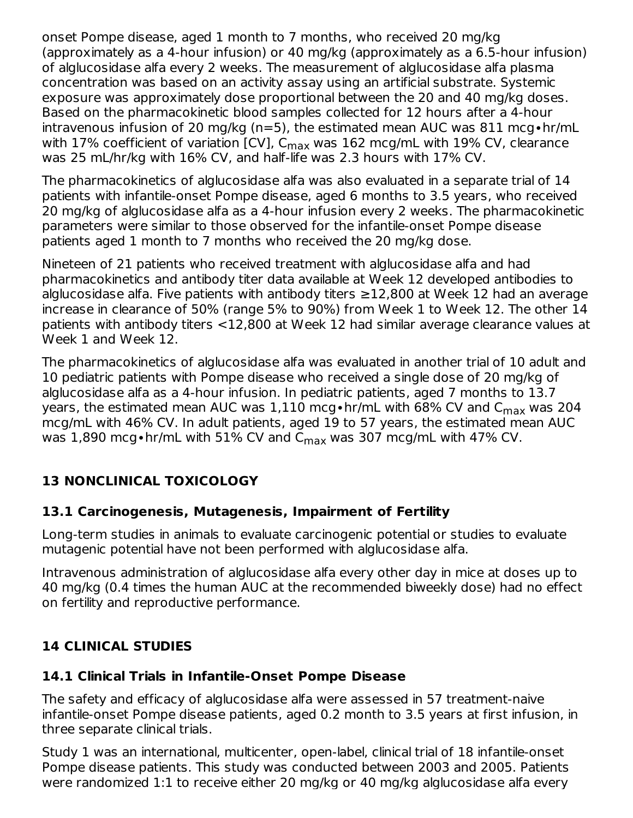onset Pompe disease, aged 1 month to 7 months, who received 20 mg/kg (approximately as a 4-hour infusion) or 40 mg/kg (approximately as a 6.5-hour infusion) of alglucosidase alfa every 2 weeks. The measurement of alglucosidase alfa plasma concentration was based on an activity assay using an artificial substrate. Systemic exposure was approximately dose proportional between the 20 and 40 mg/kg doses. Based on the pharmacokinetic blood samples collected for 12 hours after a 4-hour intravenous infusion of 20 mg/kg (n=5), the estimated mean AUC was 811 mcg∙hr/mL with 17% coefficient of variation [CV], C<sub>max</sub> was 162 mcg/mL with 19% CV, clearance was 25 mL/hr/kg with 16% CV, and half-life was 2.3 hours with 17% CV.

The pharmacokinetics of alglucosidase alfa was also evaluated in a separate trial of 14 patients with infantile-onset Pompe disease, aged 6 months to 3.5 years, who received 20 mg/kg of alglucosidase alfa as a 4-hour infusion every 2 weeks. The pharmacokinetic parameters were similar to those observed for the infantile-onset Pompe disease patients aged 1 month to 7 months who received the 20 mg/kg dose.

Nineteen of 21 patients who received treatment with alglucosidase alfa and had pharmacokinetics and antibody titer data available at Week 12 developed antibodies to alglucosidase alfa. Five patients with antibody titers  $\geq$ 12,800 at Week 12 had an average increase in clearance of 50% (range 5% to 90%) from Week 1 to Week 12. The other 14 patients with antibody titers <12,800 at Week 12 had similar average clearance values at Week 1 and Week 12.

The pharmacokinetics of alglucosidase alfa was evaluated in another trial of 10 adult and 10 pediatric patients with Pompe disease who received a single dose of 20 mg/kg of alglucosidase alfa as a 4-hour infusion. In pediatric patients, aged 7 months to 13.7 years, the estimated mean AUC was 1,110 mcg•hr/mL with 68% CV and C $_{\sf max}$  was 204 mcg/mL with 46% CV. In adult patients, aged 19 to 57 years, the estimated mean AUC was  $1{,}890$  mcg∙hr/mL with 5 $1\%$  CV and C $_{\sf max}$  was 307 mcg/mL with 47% CV.

# **13 NONCLINICAL TOXICOLOGY**

# **13.1 Carcinogenesis, Mutagenesis, Impairment of Fertility**

Long-term studies in animals to evaluate carcinogenic potential or studies to evaluate mutagenic potential have not been performed with alglucosidase alfa.

Intravenous administration of alglucosidase alfa every other day in mice at doses up to 40 mg/kg (0.4 times the human AUC at the recommended biweekly dose) had no effect on fertility and reproductive performance.

# **14 CLINICAL STUDIES**

# **14.1 Clinical Trials in Infantile-Onset Pompe Disease**

The safety and efficacy of alglucosidase alfa were assessed in 57 treatment-naive infantile-onset Pompe disease patients, aged 0.2 month to 3.5 years at first infusion, in three separate clinical trials.

Study 1 was an international, multicenter, open-label, clinical trial of 18 infantile-onset Pompe disease patients. This study was conducted between 2003 and 2005. Patients were randomized 1:1 to receive either 20 mg/kg or 40 mg/kg alglucosidase alfa every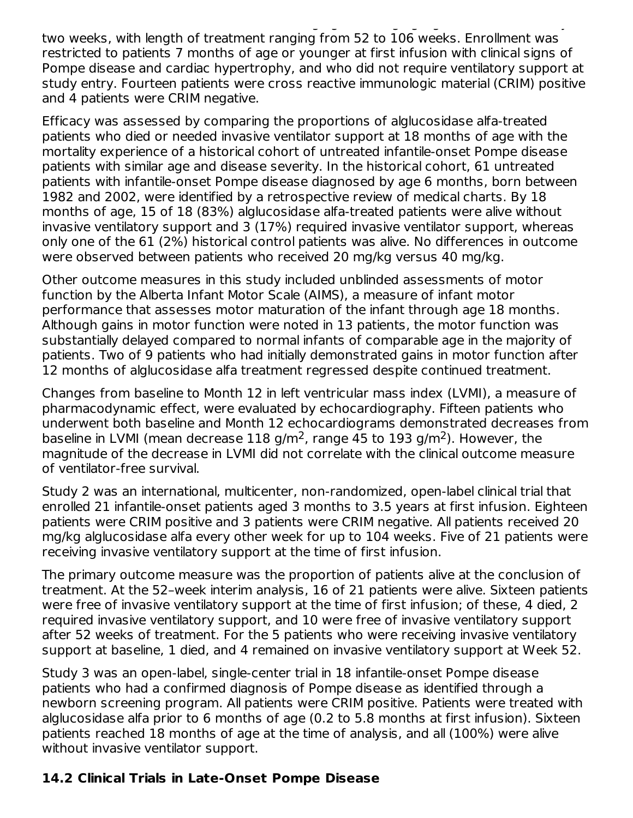were randomized 1:1 to receive either 20 mg/kg algebra alfa either 20 mg/kg alglucosidase alfa elektronical el<br>Alfa every alfa every alfa every alfa every alfa every alfa every alfa every alfa every alfa every alfa elektr two weeks, with length of treatment ranging from 52 to 106 weeks. Enrollment was restricted to patients 7 months of age or younger at first infusion with clinical signs of Pompe disease and cardiac hypertrophy, and who did not require ventilatory support at study entry. Fourteen patients were cross reactive immunologic material (CRIM) positive and 4 patients were CRIM negative.

Efficacy was assessed by comparing the proportions of alglucosidase alfa-treated patients who died or needed invasive ventilator support at 18 months of age with the mortality experience of a historical cohort of untreated infantile-onset Pompe disease patients with similar age and disease severity. In the historical cohort, 61 untreated patients with infantile-onset Pompe disease diagnosed by age 6 months, born between 1982 and 2002, were identified by a retrospective review of medical charts. By 18 months of age, 15 of 18 (83%) alglucosidase alfa-treated patients were alive without invasive ventilatory support and 3 (17%) required invasive ventilator support, whereas only one of the 61 (2%) historical control patients was alive. No differences in outcome were observed between patients who received 20 mg/kg versus 40 mg/kg.

Other outcome measures in this study included unblinded assessments of motor function by the Alberta Infant Motor Scale (AIMS), a measure of infant motor performance that assesses motor maturation of the infant through age 18 months. Although gains in motor function were noted in 13 patients, the motor function was substantially delayed compared to normal infants of comparable age in the majority of patients. Two of 9 patients who had initially demonstrated gains in motor function after 12 months of alglucosidase alfa treatment regressed despite continued treatment.

Changes from baseline to Month 12 in left ventricular mass index (LVMI), a measure of pharmacodynamic effect, were evaluated by echocardiography. Fifteen patients who underwent both baseline and Month 12 echocardiograms demonstrated decreases from baseline in LVMI (mean decrease  $118$  g/m<sup>2</sup>, range 45 to 193 g/m<sup>2</sup>). However, the magnitude of the decrease in LVMI did not correlate with the clinical outcome measure of ventilator-free survival.

Study 2 was an international, multicenter, non-randomized, open-label clinical trial that enrolled 21 infantile-onset patients aged 3 months to 3.5 years at first infusion. Eighteen patients were CRIM positive and 3 patients were CRIM negative. All patients received 20 mg/kg alglucosidase alfa every other week for up to 104 weeks. Five of 21 patients were receiving invasive ventilatory support at the time of first infusion.

The primary outcome measure was the proportion of patients alive at the conclusion of treatment. At the 52–week interim analysis, 16 of 21 patients were alive. Sixteen patients were free of invasive ventilatory support at the time of first infusion; of these, 4 died, 2 required invasive ventilatory support, and 10 were free of invasive ventilatory support after 52 weeks of treatment. For the 5 patients who were receiving invasive ventilatory support at baseline, 1 died, and 4 remained on invasive ventilatory support at Week 52.

Study 3 was an open-label, single-center trial in 18 infantile-onset Pompe disease patients who had a confirmed diagnosis of Pompe disease as identified through a newborn screening program. All patients were CRIM positive. Patients were treated with alglucosidase alfa prior to 6 months of age (0.2 to 5.8 months at first infusion). Sixteen patients reached 18 months of age at the time of analysis, and all (100%) were alive without invasive ventilator support.

# **14.2 Clinical Trials in Late-Onset Pompe Disease**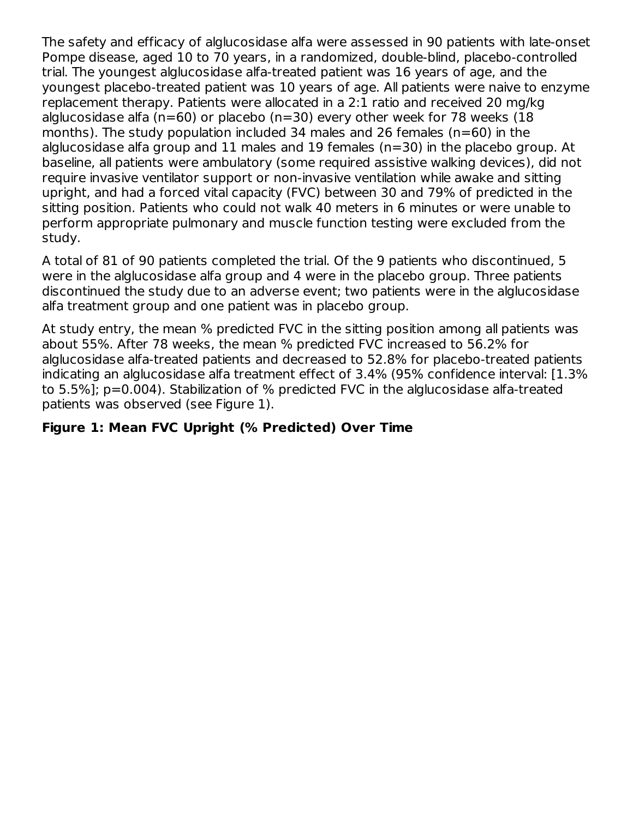The safety and efficacy of alglucosidase alfa were assessed in 90 patients with late-onset Pompe disease, aged 10 to 70 years, in a randomized, double-blind, placebo-controlled trial. The youngest alglucosidase alfa-treated patient was 16 years of age, and the youngest placebo-treated patient was 10 years of age. All patients were naive to enzyme replacement therapy. Patients were allocated in a 2:1 ratio and received 20 mg/kg alglucosidase alfa ( $n=60$ ) or placebo ( $n=30$ ) every other week for 78 weeks (18 months). The study population included 34 males and 26 females (n=60) in the alglucosidase alfa group and 11 males and 19 females (n=30) in the placebo group. At baseline, all patients were ambulatory (some required assistive walking devices), did not require invasive ventilator support or non-invasive ventilation while awake and sitting upright, and had a forced vital capacity (FVC) between 30 and 79% of predicted in the sitting position. Patients who could not walk 40 meters in 6 minutes or were unable to perform appropriate pulmonary and muscle function testing were excluded from the study.

A total of 81 of 90 patients completed the trial. Of the 9 patients who discontinued, 5 were in the alglucosidase alfa group and 4 were in the placebo group. Three patients discontinued the study due to an adverse event; two patients were in the alglucosidase alfa treatment group and one patient was in placebo group.

At study entry, the mean % predicted FVC in the sitting position among all patients was about 55%. After 78 weeks, the mean % predicted FVC increased to 56.2% for alglucosidase alfa-treated patients and decreased to 52.8% for placebo-treated patients indicating an alglucosidase alfa treatment effect of 3.4% (95% confidence interval: [1.3% to 5.5%]; p=0.004). Stabilization of % predicted FVC in the alglucosidase alfa-treated patients was observed (see Figure 1).

# **Figure 1: Mean FVC Upright (% Predicted) Over Time**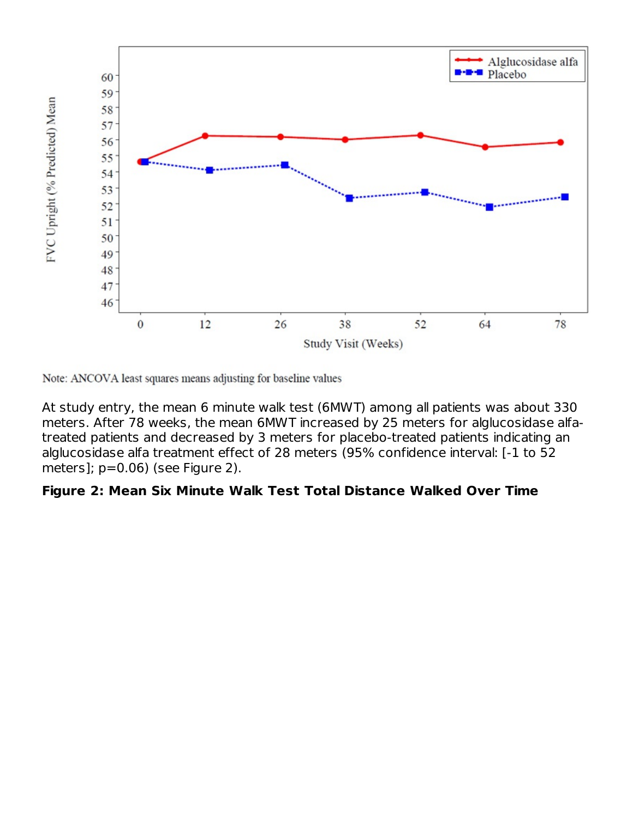

Note: ANCOVA least squares means adjusting for baseline values

At study entry, the mean 6 minute walk test (6MWT) among all patients was about 330 meters. After 78 weeks, the mean 6MWT increased by 25 meters for alglucosidase alfatreated patients and decreased by 3 meters for placebo-treated patients indicating an alglucosidase alfa treatment effect of 28 meters (95% confidence interval: [-1 to 52 meters]; p=0.06) (see Figure 2).

### **Figure 2: Mean Six Minute Walk Test Total Distance Walked Over Time**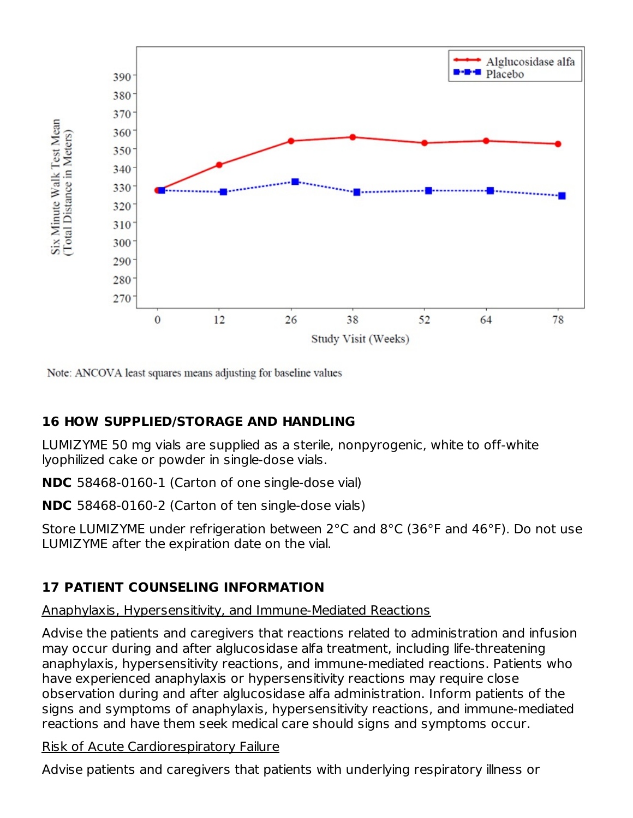

Note: ANCOVA least squares means adjusting for baseline values

# **16 HOW SUPPLIED/STORAGE AND HANDLING**

LUMIZYME 50 mg vials are supplied as a sterile, nonpyrogenic, white to off-white lyophilized cake or powder in single-dose vials.

**NDC** 58468-0160-1 (Carton of one single-dose vial)

**NDC** 58468-0160-2 (Carton of ten single-dose vials)

Store LUMIZYME under refrigeration between 2°C and 8°C (36°F and 46°F). Do not use LUMIZYME after the expiration date on the vial.

# **17 PATIENT COUNSELING INFORMATION**

### Anaphylaxis, Hypersensitivity, and Immune-Mediated Reactions

Advise the patients and caregivers that reactions related to administration and infusion may occur during and after alglucosidase alfa treatment, including life-threatening anaphylaxis, hypersensitivity reactions, and immune-mediated reactions. Patients who have experienced anaphylaxis or hypersensitivity reactions may require close observation during and after alglucosidase alfa administration. Inform patients of the signs and symptoms of anaphylaxis, hypersensitivity reactions, and immune-mediated reactions and have them seek medical care should signs and symptoms occur.

### Risk of Acute Cardiorespiratory Failure

Advise patients and caregivers that patients with underlying respiratory illness or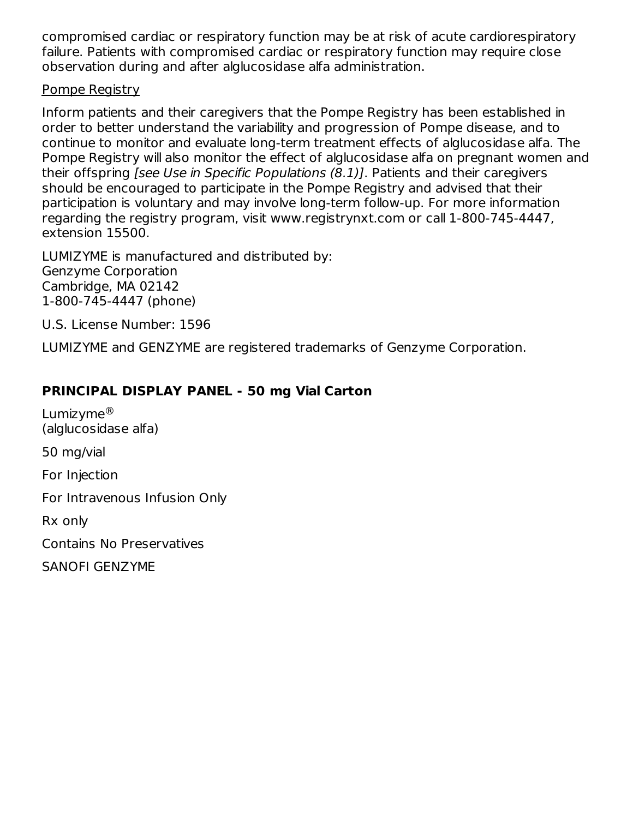compromised cardiac or respiratory function may be at risk of acute cardiorespiratory failure. Patients with compromised cardiac or respiratory function may require close observation during and after alglucosidase alfa administration.

### Pompe Registry

Inform patients and their caregivers that the Pompe Registry has been established in order to better understand the variability and progression of Pompe disease, and to continue to monitor and evaluate long-term treatment effects of alglucosidase alfa. The Pompe Registry will also monitor the effect of alglucosidase alfa on pregnant women and their offspring [see Use in Specific Populations (8.1)]. Patients and their caregivers should be encouraged to participate in the Pompe Registry and advised that their participation is voluntary and may involve long-term follow-up. For more information regarding the registry program, visit www.registrynxt.com or call 1-800-745-4447, extension 15500.

LUMIZYME is manufactured and distributed by: Genzyme Corporation Cambridge, MA 02142 1-800-745-4447 (phone)

U.S. License Number: 1596

LUMIZYME and GENZYME are registered trademarks of Genzyme Corporation.

### **PRINCIPAL DISPLAY PANEL - 50 mg Vial Carton**

Lumizyme ®(alglucosidase alfa)

50 mg/vial

For Injection

For Intravenous Infusion Only

Rx only

Contains No Preservatives

SANOFI GENZYME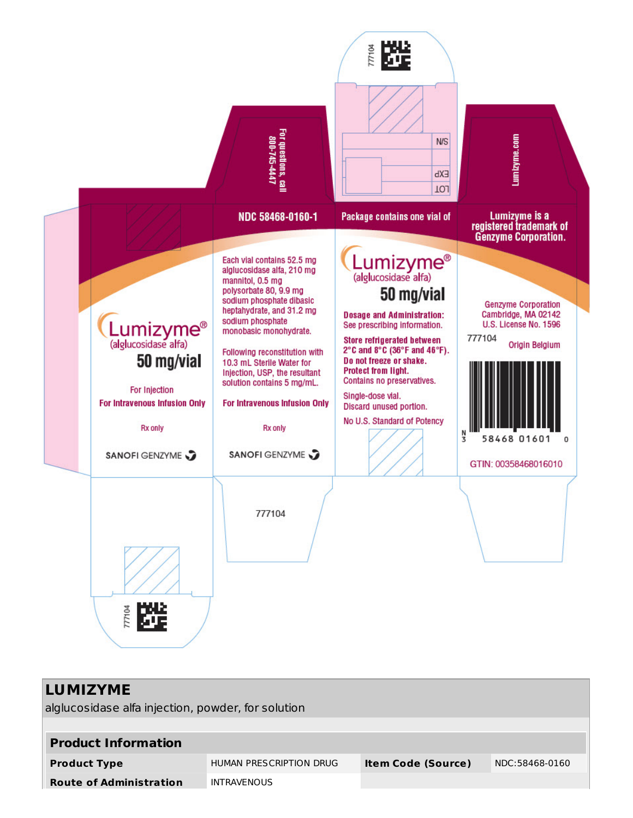

| <b>LUMIZYME</b><br>alglucosidase alfa injection, powder, for solution |                         |                           |                |  |  |  |
|-----------------------------------------------------------------------|-------------------------|---------------------------|----------------|--|--|--|
| <b>Product Information</b>                                            |                         |                           |                |  |  |  |
| <b>Product Type</b>                                                   | HUMAN PRESCRIPTION DRUG | <b>Item Code (Source)</b> | NDC:58468-0160 |  |  |  |
| <b>Route of Administration</b>                                        | <b>INTRAVENOUS</b>      |                           |                |  |  |  |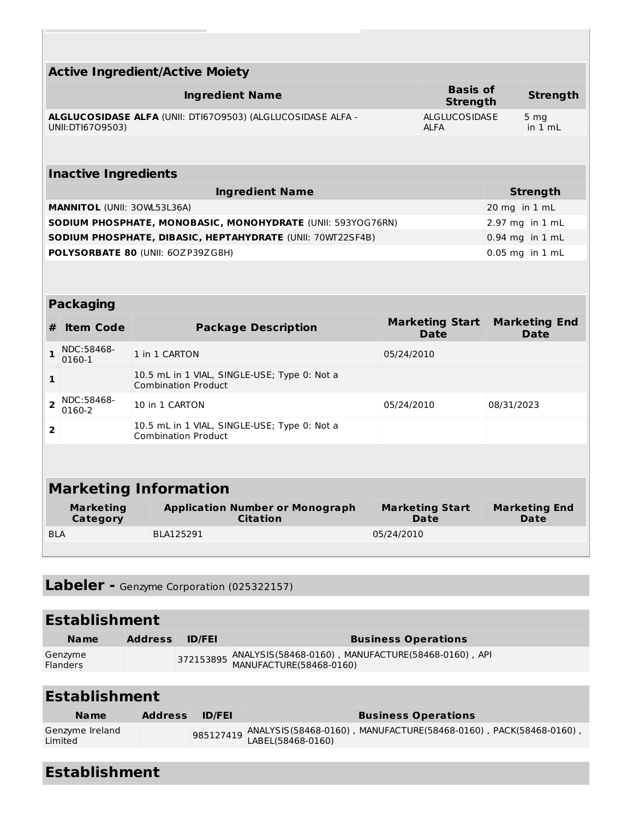|                                                                                                                         | <b>Active Ingredient/Active Moiety</b>                                          |                                                                            |            |                                       |               |                                     |  |  |  |
|-------------------------------------------------------------------------------------------------------------------------|---------------------------------------------------------------------------------|----------------------------------------------------------------------------|------------|---------------------------------------|---------------|-------------------------------------|--|--|--|
|                                                                                                                         | <b>Basis of</b><br><b>Ingredient Name</b><br><b>Strength</b><br><b>Strength</b> |                                                                            |            |                                       |               |                                     |  |  |  |
| ALGLUCOSIDASE ALFA (UNII: DTI6709503) (ALGLUCOSIDASE ALFA -<br><b>ALGLUCOSIDASE</b><br>UNII: DTI6709503)<br><b>ALFA</b> |                                                                                 |                                                                            |            |                                       |               | 5 <sub>mg</sub><br>in $1 mL$        |  |  |  |
|                                                                                                                         |                                                                                 |                                                                            |            |                                       |               |                                     |  |  |  |
|                                                                                                                         | <b>Inactive Ingredients</b>                                                     |                                                                            |            |                                       |               |                                     |  |  |  |
|                                                                                                                         |                                                                                 | <b>Ingredient Name</b>                                                     |            |                                       |               | <b>Strength</b>                     |  |  |  |
|                                                                                                                         | <b>MANNITOL (UNII: 30WL53L36A)</b>                                              |                                                                            |            |                                       | 20 mg in 1 mL |                                     |  |  |  |
|                                                                                                                         |                                                                                 | SODIUM PHOSPHATE, MONOBASIC, MONOHYDRATE (UNII: 593YOG76RN)                |            |                                       |               | 2.97 mg in 1 mL                     |  |  |  |
|                                                                                                                         |                                                                                 | SODIUM PHOSPHATE, DIBASIC, HEPTAHYDRATE (UNII: 70WT22SF4B)                 |            |                                       |               | 0.94 mg in 1 mL                     |  |  |  |
|                                                                                                                         |                                                                                 | POLYSORBATE 80 (UNII: 60ZP39ZG8H)                                          |            |                                       |               | 0.05 mg in 1 mL                     |  |  |  |
|                                                                                                                         |                                                                                 |                                                                            |            |                                       |               |                                     |  |  |  |
|                                                                                                                         | <b>Packaging</b>                                                                |                                                                            |            |                                       |               |                                     |  |  |  |
| #                                                                                                                       | <b>Item Code</b>                                                                | <b>Package Description</b>                                                 |            | <b>Marketing Start</b><br><b>Date</b> |               | <b>Marketing End</b><br><b>Date</b> |  |  |  |
| 1                                                                                                                       | NDC:58468-<br>0160-1                                                            | 1 in 1 CARTON                                                              | 05/24/2010 |                                       |               |                                     |  |  |  |
| 1                                                                                                                       |                                                                                 | 10.5 mL in 1 VIAL, SINGLE-USE; Type 0: Not a<br><b>Combination Product</b> |            |                                       |               |                                     |  |  |  |
| $\overline{2}$                                                                                                          | NDC:58468-<br>0160-2                                                            | 10 in 1 CARTON                                                             | 05/24/2010 |                                       | 08/31/2023    |                                     |  |  |  |
| 10.5 mL in 1 VIAL, SINGLE-USE; Type 0: Not a<br>2<br><b>Combination Product</b>                                         |                                                                                 |                                                                            |            |                                       |               |                                     |  |  |  |
|                                                                                                                         |                                                                                 |                                                                            |            |                                       |               |                                     |  |  |  |
|                                                                                                                         |                                                                                 | <b>Marketing Information</b>                                               |            |                                       |               |                                     |  |  |  |
|                                                                                                                         | <b>Marketing</b><br>Category                                                    | <b>Application Number or Monograph</b><br><b>Citation</b>                  |            | <b>Marketing Start</b><br>Date        |               | <b>Marketing End</b><br>Date        |  |  |  |
| <b>BLA</b>                                                                                                              |                                                                                 | BLA125291                                                                  | 05/24/2010 |                                       |               |                                     |  |  |  |

**Labeler -** Genzyme Corporation (025322157)

| <b>Establishment</b>       |                |               |                                                              |  |  |  |
|----------------------------|----------------|---------------|--------------------------------------------------------------|--|--|--|
| <b>Name</b>                | <b>Address</b> | <b>ID/FEI</b> | <b>Business Operations</b>                                   |  |  |  |
| Genzyme<br><b>Flanders</b> |                |               | 372153895 ANALYSIS(58468-0160), MANUFACTURE(58468-0160), API |  |  |  |

| <b>Establishment</b>       |                |               |                                                                               |  |  |
|----------------------------|----------------|---------------|-------------------------------------------------------------------------------|--|--|
| <b>Name</b>                | <b>Address</b> | <b>ID/FEI</b> | <b>Business Operations</b>                                                    |  |  |
| Genzyme Ireland<br>Limited |                |               | 985127419 ANALYSIS(58468-0160) , MANUFACTURE(58468-0160) , PACK(58468-0160) , |  |  |

| <b>Establishment</b> |  |  |  |
|----------------------|--|--|--|
|                      |  |  |  |